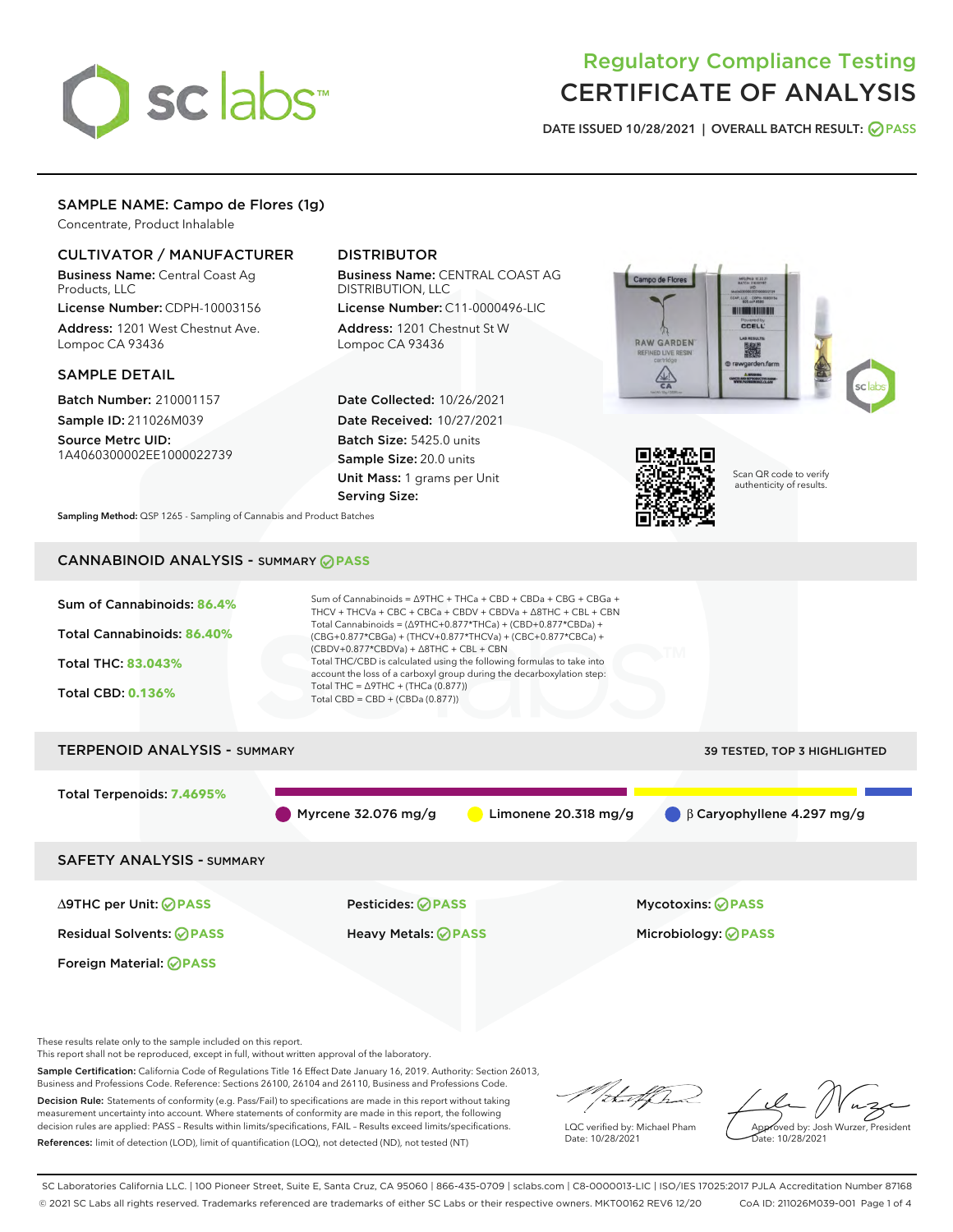# sclabs<sup>\*</sup>

# Regulatory Compliance Testing CERTIFICATE OF ANALYSIS

DATE ISSUED 10/28/2021 | OVERALL BATCH RESULT: @ PASS

# SAMPLE NAME: Campo de Flores (1g)

Concentrate, Product Inhalable

# CULTIVATOR / MANUFACTURER

Business Name: Central Coast Ag Products, LLC

License Number: CDPH-10003156 Address: 1201 West Chestnut Ave. Lompoc CA 93436

# SAMPLE DETAIL

Batch Number: 210001157 Sample ID: 211026M039

Source Metrc UID: 1A4060300002EE1000022739

# DISTRIBUTOR

Business Name: CENTRAL COAST AG DISTRIBUTION, LLC License Number: C11-0000496-LIC

Address: 1201 Chestnut St W Lompoc CA 93436

Date Collected: 10/26/2021 Date Received: 10/27/2021 Batch Size: 5425.0 units Sample Size: 20.0 units Unit Mass: 1 grams per Unit Serving Size:





Scan QR code to verify authenticity of results.

Sampling Method: QSP 1265 - Sampling of Cannabis and Product Batches

# CANNABINOID ANALYSIS - SUMMARY **PASS**



This report shall not be reproduced, except in full, without written approval of the laboratory.

Sample Certification: California Code of Regulations Title 16 Effect Date January 16, 2019. Authority: Section 26013, Business and Professions Code. Reference: Sections 26100, 26104 and 26110, Business and Professions Code.

Decision Rule: Statements of conformity (e.g. Pass/Fail) to specifications are made in this report without taking measurement uncertainty into account. Where statements of conformity are made in this report, the following decision rules are applied: PASS – Results within limits/specifications, FAIL – Results exceed limits/specifications. References: limit of detection (LOD), limit of quantification (LOQ), not detected (ND), not tested (NT)

that f h

LQC verified by: Michael Pham Date: 10/28/2021

Approved by: Josh Wurzer, President Date: 10/28/2021

SC Laboratories California LLC. | 100 Pioneer Street, Suite E, Santa Cruz, CA 95060 | 866-435-0709 | sclabs.com | C8-0000013-LIC | ISO/IES 17025:2017 PJLA Accreditation Number 87168 © 2021 SC Labs all rights reserved. Trademarks referenced are trademarks of either SC Labs or their respective owners. MKT00162 REV6 12/20 CoA ID: 211026M039-001 Page 1 of 4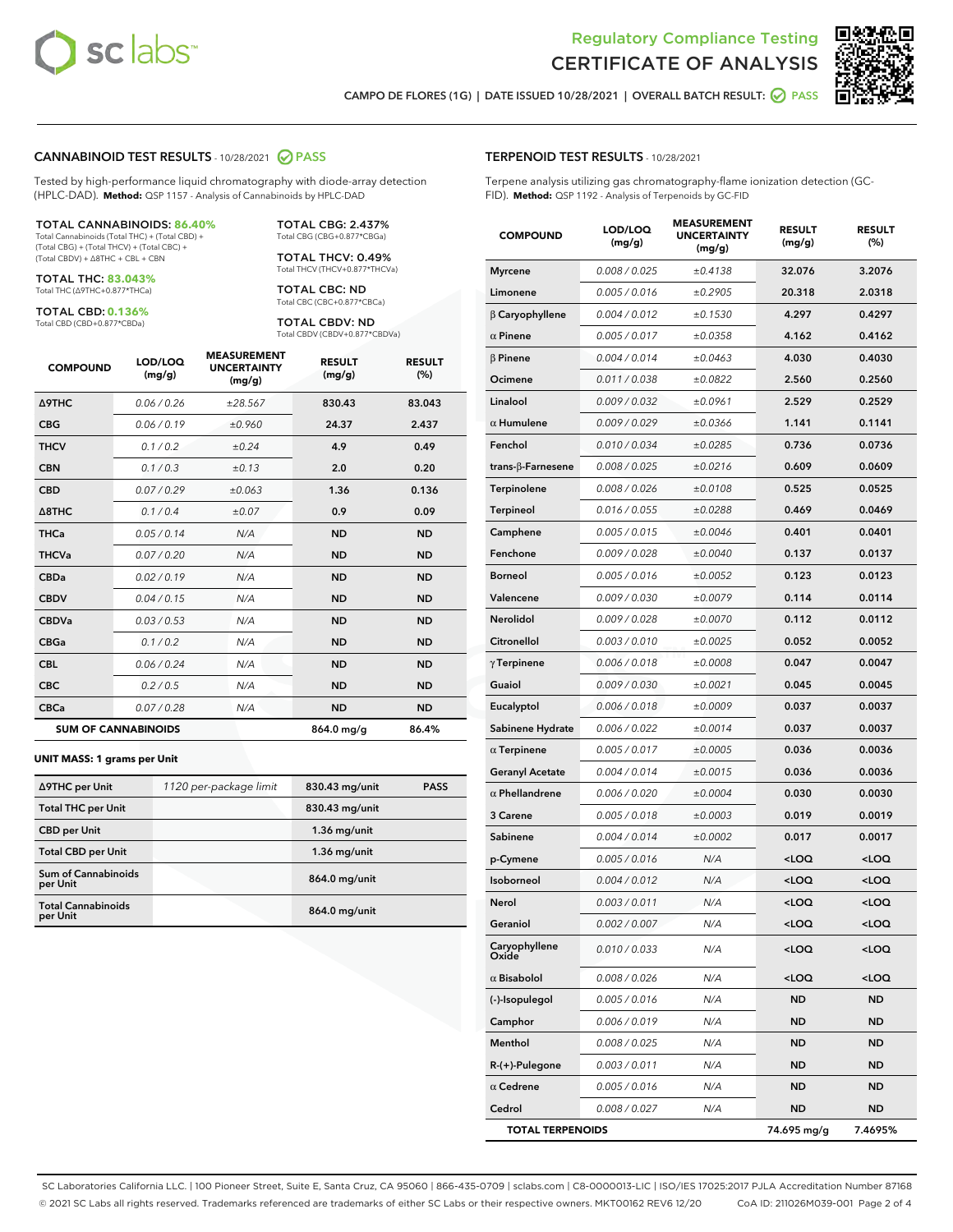



CAMPO DE FLORES (1G) | DATE ISSUED 10/28/2021 | OVERALL BATCH RESULT: 2 PASS

#### CANNABINOID TEST RESULTS - 10/28/2021 2 PASS

Tested by high-performance liquid chromatography with diode-array detection (HPLC-DAD). **Method:** QSP 1157 - Analysis of Cannabinoids by HPLC-DAD

#### TOTAL CANNABINOIDS: **86.40%**

Total Cannabinoids (Total THC) + (Total CBD) + (Total CBG) + (Total THCV) + (Total CBC) + (Total CBDV) + ∆8THC + CBL + CBN

TOTAL THC: **83.043%** Total THC (∆9THC+0.877\*THCa)

TOTAL CBD: **0.136%**

Total CBD (CBD+0.877\*CBDa)

TOTAL CBG: 2.437% Total CBG (CBG+0.877\*CBGa)

TOTAL THCV: 0.49% Total THCV (THCV+0.877\*THCVa)

TOTAL CBC: ND Total CBC (CBC+0.877\*CBCa)

TOTAL CBDV: ND Total CBDV (CBDV+0.877\*CBDVa)

| <b>COMPOUND</b>  | LOD/LOQ<br>(mg/g)          | <b>MEASUREMENT</b><br><b>UNCERTAINTY</b><br>(mg/g) | <b>RESULT</b><br>(mg/g) | <b>RESULT</b><br>(%) |
|------------------|----------------------------|----------------------------------------------------|-------------------------|----------------------|
| <b>A9THC</b>     | 0.06/0.26                  | ±28.567                                            | 830.43                  | 83.043               |
| <b>CBG</b>       | 0.06/0.19                  | ±0.960                                             | 24.37                   | 2.437                |
| <b>THCV</b>      | 0.1 / 0.2                  | ±0.24                                              | 4.9                     | 0.49                 |
| <b>CBN</b>       | 0.1/0.3                    | ±0.13                                              | 2.0                     | 0.20                 |
| <b>CBD</b>       | 0.07/0.29                  | ±0.063                                             | 1.36                    | 0.136                |
| $\triangle$ 8THC | 0.1/0.4                    | ±0.07                                              | 0.9                     | 0.09                 |
| <b>THCa</b>      | 0.05/0.14                  | N/A                                                | <b>ND</b>               | <b>ND</b>            |
| <b>THCVa</b>     | 0.07/0.20                  | N/A                                                | <b>ND</b>               | <b>ND</b>            |
| <b>CBDa</b>      | 0.02/0.19                  | N/A                                                | <b>ND</b>               | <b>ND</b>            |
| <b>CBDV</b>      | 0.04/0.15                  | N/A                                                | <b>ND</b>               | <b>ND</b>            |
| <b>CBDVa</b>     | 0.03/0.53                  | N/A                                                | <b>ND</b>               | <b>ND</b>            |
| <b>CBGa</b>      | 0.1 / 0.2                  | N/A                                                | <b>ND</b>               | <b>ND</b>            |
| <b>CBL</b>       | 0.06 / 0.24                | N/A                                                | <b>ND</b>               | <b>ND</b>            |
| <b>CBC</b>       | 0.2 / 0.5                  | N/A                                                | <b>ND</b>               | <b>ND</b>            |
| <b>CBCa</b>      | 0.07/0.28                  | N/A                                                | <b>ND</b>               | <b>ND</b>            |
|                  | <b>SUM OF CANNABINOIDS</b> |                                                    | 864.0 mg/g              | 86.4%                |

#### **UNIT MASS: 1 grams per Unit**

| ∆9THC per Unit                        | 1120 per-package limit | 830.43 mg/unit | <b>PASS</b> |
|---------------------------------------|------------------------|----------------|-------------|
| <b>Total THC per Unit</b>             |                        | 830.43 mg/unit |             |
| <b>CBD per Unit</b>                   |                        | $1.36$ mg/unit |             |
| <b>Total CBD per Unit</b>             |                        | $1.36$ mg/unit |             |
| Sum of Cannabinoids<br>per Unit       |                        | 864.0 mg/unit  |             |
| <b>Total Cannabinoids</b><br>per Unit |                        | 864.0 mg/unit  |             |

# COMPOUND LOD/LOQ (mg/g) MEASUREMENT UNCERTAINTY (mg/g) RESULT (mg/g) RESULT (%) Myrcene 0.008/0.025 ±0.4138 32.076 3.2076 Limonene  $0.005 / 0.016$   $\pm 0.2905$  20.318 2.0318 β Caryophyllene 0.004 / 0.012 ± 0.1530 4.297 0.4297  $\alpha$  Pinene  $0.005 / 0.017$   $\pm 0.0358$  4.162 0.4162  $β$  Pinene  $0.004 / 0.014$   $± 0.0463$  4.030 0.4030 **Ocimene** 0.011/0.038  $\pm 0.0822$  2.560 0.2560 Linalool  $0.009 / 0.032$   $\pm 0.0961$  2.529 0.2529  $α$  Humulene  $0.009 / 0.029$   $± 0.0366$  1.141 0.1141 Fenchol 0.010 / 0.034 ± 0.0285 0.736 0.0736 trans-β-Farnesene 0.008 / 0.025  $\pm$  0.0216 0.609 0.0609 Terpinolene 0.008 / 0.026 ± 0.0108 0.525 0.0525 Terpineol  $0.016 / 0.055$   $\pm 0.0288$  0.469 0.0469 Camphene  $0.005 / 0.015$   $\pm 0.0046$  0.401 0.0401 Fenchone 0.009/0.028 ±0.0040 0.137 0.0137 Borneol 0.005 / 0.016  $\pm 0.0052$  0.123 0.0123 Valencene 0.009 / 0.030 ± 0.0079 0.114 0.0114 Nerolidol 0.009/0.028 ±0.0070 0.112 0.0112  $Citronellol$  0.003 / 0.010  $\pm 0.0025$  0.052 0.0052 γ Terpinene 0.006 / 0.018 ± 0.0008 0.047 0.0047 Guaiol 0.009 / 0.030 ± 0.0021 0.045 0.0045 Eucalyptol 0.006/0.018 ±0.0009 0.037 0.0037 Sabinene Hydrate  $0.006 / 0.022$   $\pm 0.0014$  0.037 0.0037 α Terpinene  $0.005 / 0.017$   $\pm 0.0005$  0.036 0.0036 Geranyl Acetate  $0.004 / 0.014$   $\pm 0.0015$  0.036 0.0036  $α$  Phellandrene  $0.006 / 0.020$   $± 0.0004$  0.030 0.0030 3 Carene 0.005 / 0.018 ± 0.0003 0.019 0.0019 Sabinene  $0.004 / 0.014$   $\pm 0.0002$  0.017 0.0017 p-Cymene 0.005 / 0.016 N/A <LOQ <LOQ Isoborneol 0.004 / 0.012 N/A <LOQ <LOQ Nerol 0.003 / 0.011 N/A <LOQ <LOQ Geraniol 0.002 / 0.007 N/A <LOQ <LOQ Caryophyllene Oxide 0.010 / 0.033 N/A <LOQ <LOQ α Bisabolol 0.008 / 0.026 N/A <LOQ <LOQ (-)-Isopulegol 0.005 / 0.016 N/A ND ND Camphor 0.006 / 0.019 N/A ND ND Menthol 0.008 / 0.025 N/A ND ND R-(+)-Pulegone 0.003 / 0.011 N/A ND ND  $\alpha$  Cedrene  $0.005 / 0.016$  N/A ND ND Cedrol 0.008 / 0.027 N/A ND ND

TOTAL TERPENOIDS 74.695 mg/g 7.4695%

SC Laboratories California LLC. | 100 Pioneer Street, Suite E, Santa Cruz, CA 95060 | 866-435-0709 | sclabs.com | C8-0000013-LIC | ISO/IES 17025:2017 PJLA Accreditation Number 87168 © 2021 SC Labs all rights reserved. Trademarks referenced are trademarks of either SC Labs or their respective owners. MKT00162 REV6 12/20 CoA ID: 211026M039-001 Page 2 of 4

#### TERPENOID TEST RESULTS - 10/28/2021

Terpene analysis utilizing gas chromatography-flame ionization detection (GC-FID). **Method:** QSP 1192 - Analysis of Terpenoids by GC-FID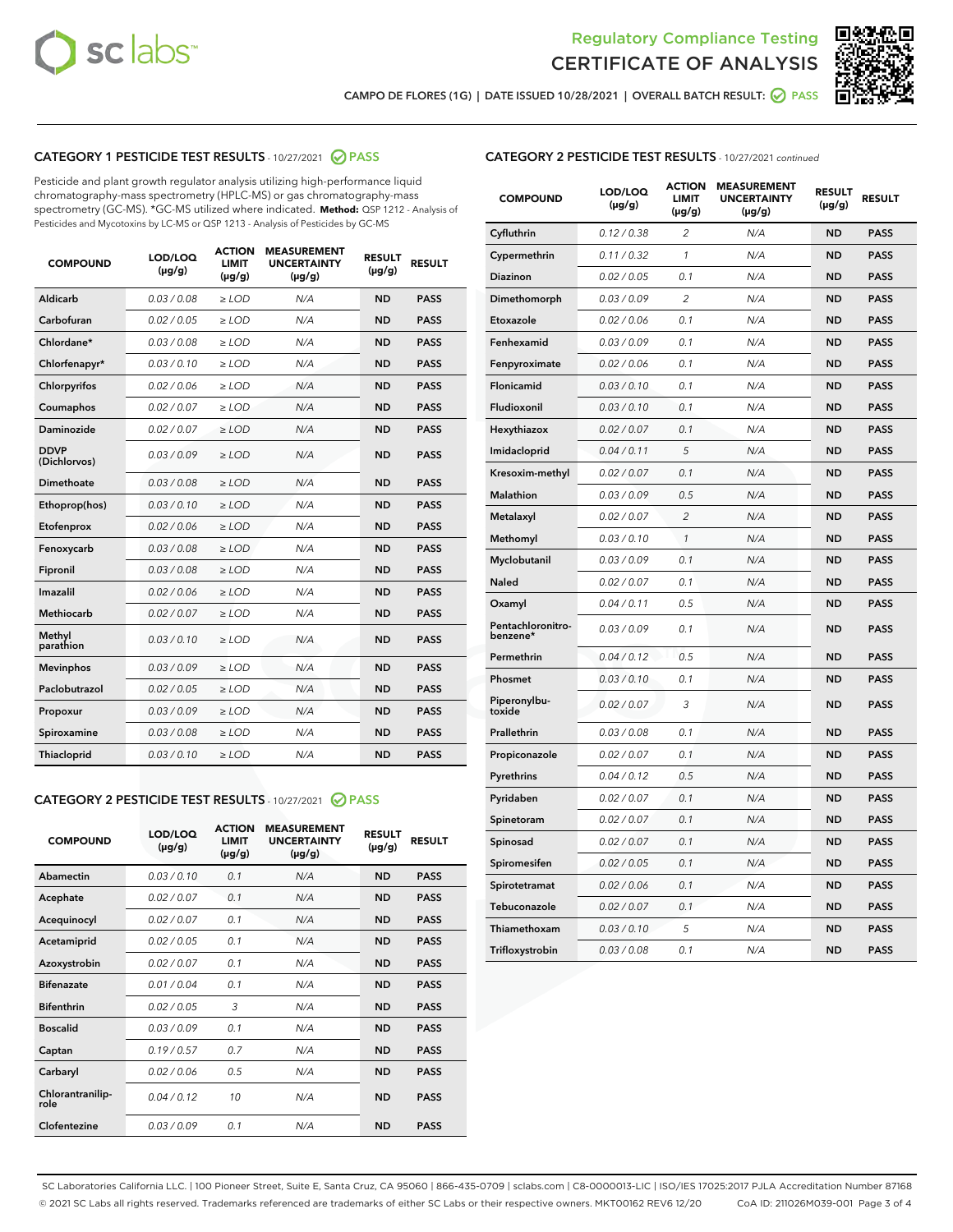



CAMPO DE FLORES (1G) | DATE ISSUED 10/28/2021 | OVERALL BATCH RESULT: ◯ PASS

# CATEGORY 1 PESTICIDE TEST RESULTS - 10/27/2021 @ PASS

Pesticide and plant growth regulator analysis utilizing high-performance liquid chromatography-mass spectrometry (HPLC-MS) or gas chromatography-mass spectrometry (GC-MS). \*GC-MS utilized where indicated. **Method:** QSP 1212 - Analysis of Pesticides and Mycotoxins by LC-MS or QSP 1213 - Analysis of Pesticides by GC-MS

| <b>COMPOUND</b>             | LOD/LOQ<br>$(\mu g/g)$ | <b>ACTION</b><br><b>LIMIT</b><br>$(\mu g/g)$ | <b>MEASUREMENT</b><br><b>UNCERTAINTY</b><br>$(\mu g/g)$ | <b>RESULT</b><br>$(\mu g/g)$ | <b>RESULT</b> |
|-----------------------------|------------------------|----------------------------------------------|---------------------------------------------------------|------------------------------|---------------|
| Aldicarb                    | 0.03 / 0.08            | $\geq$ LOD                                   | N/A                                                     | <b>ND</b>                    | <b>PASS</b>   |
| Carbofuran                  | 0.02/0.05              | $\ge$ LOD                                    | N/A                                                     | <b>ND</b>                    | <b>PASS</b>   |
| Chlordane*                  | 0.03 / 0.08            | $\ge$ LOD                                    | N/A                                                     | <b>ND</b>                    | <b>PASS</b>   |
| Chlorfenapyr*               | 0.03/0.10              | $\ge$ LOD                                    | N/A                                                     | <b>ND</b>                    | <b>PASS</b>   |
| Chlorpyrifos                | 0.02 / 0.06            | $\ge$ LOD                                    | N/A                                                     | <b>ND</b>                    | <b>PASS</b>   |
| Coumaphos                   | 0.02 / 0.07            | $\ge$ LOD                                    | N/A                                                     | <b>ND</b>                    | <b>PASS</b>   |
| Daminozide                  | 0.02 / 0.07            | $\ge$ LOD                                    | N/A                                                     | <b>ND</b>                    | <b>PASS</b>   |
| <b>DDVP</b><br>(Dichlorvos) | 0.03/0.09              | $\ge$ LOD                                    | N/A                                                     | <b>ND</b>                    | <b>PASS</b>   |
| Dimethoate                  | 0.03 / 0.08            | $\ge$ LOD                                    | N/A                                                     | <b>ND</b>                    | <b>PASS</b>   |
| Ethoprop(hos)               | 0.03/0.10              | $\ge$ LOD                                    | N/A                                                     | <b>ND</b>                    | <b>PASS</b>   |
| Etofenprox                  | 0.02/0.06              | $\ge$ LOD                                    | N/A                                                     | <b>ND</b>                    | <b>PASS</b>   |
| Fenoxycarb                  | 0.03/0.08              | $\ge$ LOD                                    | N/A                                                     | <b>ND</b>                    | <b>PASS</b>   |
| Fipronil                    | 0.03/0.08              | $\ge$ LOD                                    | N/A                                                     | <b>ND</b>                    | <b>PASS</b>   |
| Imazalil                    | 0.02 / 0.06            | $\ge$ LOD                                    | N/A                                                     | <b>ND</b>                    | <b>PASS</b>   |
| <b>Methiocarb</b>           | 0.02 / 0.07            | $\ge$ LOD                                    | N/A                                                     | <b>ND</b>                    | <b>PASS</b>   |
| Methyl<br>parathion         | 0.03/0.10              | $\ge$ LOD                                    | N/A                                                     | <b>ND</b>                    | <b>PASS</b>   |
| <b>Mevinphos</b>            | 0.03/0.09              | $\ge$ LOD                                    | N/A                                                     | <b>ND</b>                    | <b>PASS</b>   |
| Paclobutrazol               | 0.02 / 0.05            | $\ge$ LOD                                    | N/A                                                     | <b>ND</b>                    | <b>PASS</b>   |
| Propoxur                    | 0.03/0.09              | $\ge$ LOD                                    | N/A                                                     | <b>ND</b>                    | <b>PASS</b>   |
| Spiroxamine                 | 0.03 / 0.08            | $\ge$ LOD                                    | N/A                                                     | <b>ND</b>                    | <b>PASS</b>   |
| <b>Thiacloprid</b>          | 0.03/0.10              | $\ge$ LOD                                    | N/A                                                     | <b>ND</b>                    | <b>PASS</b>   |
|                             |                        |                                              |                                                         |                              |               |

# CATEGORY 2 PESTICIDE TEST RESULTS - 10/27/2021 @ PASS

| <b>COMPOUND</b>          | LOD/LOO<br>$(\mu g/g)$ | <b>ACTION</b><br>LIMIT<br>$(\mu g/g)$ | <b>MEASUREMENT</b><br><b>UNCERTAINTY</b><br>$(\mu g/g)$ | <b>RESULT</b><br>$(\mu g/g)$ | <b>RESULT</b> |  |
|--------------------------|------------------------|---------------------------------------|---------------------------------------------------------|------------------------------|---------------|--|
| Abamectin                | 0.03/0.10              | 0.1                                   | N/A                                                     | <b>ND</b>                    | <b>PASS</b>   |  |
| Acephate                 | 0.02/0.07              | 0.1                                   | N/A                                                     | <b>ND</b>                    | <b>PASS</b>   |  |
| Acequinocyl              | 0.02/0.07              | 0.1                                   | N/A                                                     | <b>ND</b>                    | <b>PASS</b>   |  |
| Acetamiprid              | 0.02/0.05              | 0.1                                   | N/A                                                     | <b>ND</b>                    | <b>PASS</b>   |  |
| Azoxystrobin             | 0.02/0.07              | 0.1                                   | N/A                                                     | <b>ND</b>                    | <b>PASS</b>   |  |
| <b>Bifenazate</b>        | 0.01/0.04              | 0.1                                   | N/A                                                     | <b>ND</b>                    | <b>PASS</b>   |  |
| <b>Bifenthrin</b>        | 0.02/0.05              | 3                                     | N/A                                                     | <b>ND</b>                    | <b>PASS</b>   |  |
| <b>Boscalid</b>          | 0.03/0.09              | 0.1                                   | N/A                                                     | <b>ND</b>                    | <b>PASS</b>   |  |
| Captan                   | 0.19/0.57              | 0.7                                   | N/A                                                     | <b>ND</b>                    | <b>PASS</b>   |  |
| Carbaryl                 | 0.02/0.06              | 0.5                                   | N/A                                                     | <b>ND</b>                    | <b>PASS</b>   |  |
| Chlorantranilip-<br>role | 0.04/0.12              | 10                                    | N/A                                                     | <b>ND</b>                    | <b>PASS</b>   |  |
| Clofentezine             | 0.03/0.09              | 0.1                                   | N/A                                                     | <b>ND</b>                    | <b>PASS</b>   |  |

# CATEGORY 2 PESTICIDE TEST RESULTS - 10/27/2021 continued

| <b>COMPOUND</b>               | LOD/LOQ<br>(µg/g) | <b>ACTION</b><br>LIMIT<br>(µg/g) | <b>MEASUREMENT</b><br><b>UNCERTAINTY</b><br>(µg/g) | <b>RESULT</b><br>$(\mu g/g)$ | <b>RESULT</b> |
|-------------------------------|-------------------|----------------------------------|----------------------------------------------------|------------------------------|---------------|
| Cyfluthrin                    | 0.12 / 0.38       | $\overline{2}$                   | N/A                                                | <b>ND</b>                    | <b>PASS</b>   |
| Cypermethrin                  | 0.11 / 0.32       | 1                                | N/A                                                | <b>ND</b>                    | <b>PASS</b>   |
| Diazinon                      | 0.02 / 0.05       | 0.1                              | N/A                                                | <b>ND</b>                    | <b>PASS</b>   |
| Dimethomorph                  | 0.03 / 0.09       | $\overline{c}$                   | N/A                                                | <b>ND</b>                    | <b>PASS</b>   |
| Etoxazole                     | 0.02 / 0.06       | 0.1                              | N/A                                                | <b>ND</b>                    | <b>PASS</b>   |
| Fenhexamid                    | 0.03 / 0.09       | 0.1                              | N/A                                                | <b>ND</b>                    | <b>PASS</b>   |
| Fenpyroximate                 | 0.02 / 0.06       | 0.1                              | N/A                                                | <b>ND</b>                    | <b>PASS</b>   |
| Flonicamid                    | 0.03 / 0.10       | 0.1                              | N/A                                                | <b>ND</b>                    | <b>PASS</b>   |
| Fludioxonil                   | 0.03 / 0.10       | 0.1                              | N/A                                                | <b>ND</b>                    | <b>PASS</b>   |
| Hexythiazox                   | 0.02 / 0.07       | 0.1                              | N/A                                                | <b>ND</b>                    | <b>PASS</b>   |
| Imidacloprid                  | 0.04 / 0.11       | 5                                | N/A                                                | <b>ND</b>                    | <b>PASS</b>   |
| Kresoxim-methyl               | 0.02 / 0.07       | 0.1                              | N/A                                                | <b>ND</b>                    | <b>PASS</b>   |
| Malathion                     | 0.03 / 0.09       | 0.5                              | N/A                                                | <b>ND</b>                    | <b>PASS</b>   |
| Metalaxyl                     | 0.02 / 0.07       | $\overline{c}$                   | N/A                                                | ND                           | <b>PASS</b>   |
| Methomyl                      | 0.03 / 0.10       | $\mathbf{1}$                     | N/A                                                | <b>ND</b>                    | <b>PASS</b>   |
| Myclobutanil                  | 0.03 / 0.09       | 0.1                              | N/A                                                | <b>ND</b>                    | <b>PASS</b>   |
| Naled                         | 0.02 / 0.07       | 0.1                              | N/A                                                | <b>ND</b>                    | <b>PASS</b>   |
| Oxamyl                        | 0.04 / 0.11       | 0.5                              | N/A                                                | <b>ND</b>                    | <b>PASS</b>   |
| Pentachloronitro-<br>benzene* | 0.03 / 0.09       | 0.1                              | N/A                                                | ND                           | <b>PASS</b>   |
| Permethrin                    | 0.04 / 0.12       | 0.5                              | N/A                                                | <b>ND</b>                    | <b>PASS</b>   |
| Phosmet                       | 0.03 / 0.10       | 0.1                              | N/A                                                | <b>ND</b>                    | <b>PASS</b>   |
| Piperonylbu-<br>toxide        | 0.02 / 0.07       | 3                                | N/A                                                | <b>ND</b>                    | <b>PASS</b>   |
| Prallethrin                   | 0.03 / 0.08       | 0.1                              | N/A                                                | <b>ND</b>                    | <b>PASS</b>   |
| Propiconazole                 | 0.02 / 0.07       | 0.1                              | N/A                                                | <b>ND</b>                    | <b>PASS</b>   |
| Pyrethrins                    | 0.04 / 0.12       | 0.5                              | N/A                                                | <b>ND</b>                    | <b>PASS</b>   |
| Pyridaben                     | 0.02 / 0.07       | 0.1                              | N/A                                                | <b>ND</b>                    | <b>PASS</b>   |
| Spinetoram                    | 0.02 / 0.07       | 0.1                              | N/A                                                | <b>ND</b>                    | <b>PASS</b>   |
| Spinosad                      | 0.02 / 0.07       | 0.1                              | N/A                                                | <b>ND</b>                    | <b>PASS</b>   |
| Spiromesifen                  | 0.02 / 0.05       | 0.1                              | N/A                                                | <b>ND</b>                    | <b>PASS</b>   |
| Spirotetramat                 | 0.02 / 0.06       | 0.1                              | N/A                                                | <b>ND</b>                    | <b>PASS</b>   |
| Tebuconazole                  | 0.02 / 0.07       | 0.1                              | N/A                                                | <b>ND</b>                    | <b>PASS</b>   |
| Thiamethoxam                  | 0.03 / 0.10       | 5                                | N/A                                                | <b>ND</b>                    | <b>PASS</b>   |
| Trifloxystrobin               | 0.03 / 0.08       | 0.1                              | N/A                                                | <b>ND</b>                    | <b>PASS</b>   |

SC Laboratories California LLC. | 100 Pioneer Street, Suite E, Santa Cruz, CA 95060 | 866-435-0709 | sclabs.com | C8-0000013-LIC | ISO/IES 17025:2017 PJLA Accreditation Number 87168 © 2021 SC Labs all rights reserved. Trademarks referenced are trademarks of either SC Labs or their respective owners. MKT00162 REV6 12/20 CoA ID: 211026M039-001 Page 3 of 4